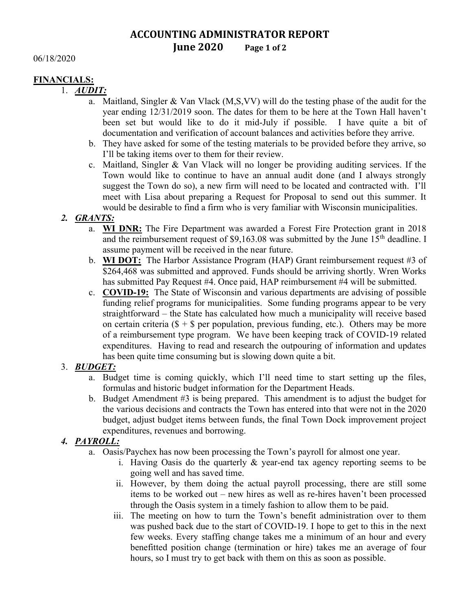# ACCOUNTING ADMINISTRATOR REPORT June 2020 Page 1 of 2

06/18/2020

#### FINANCIALS:

1. AUDIT:

- a. Maitland, Singler & Van Vlack (M,S,VV) will do the testing phase of the audit for the year ending 12/31/2019 soon. The dates for them to be here at the Town Hall haven't been set but would like to do it mid-July if possible. I have quite a bit of documentation and verification of account balances and activities before they arrive.
- b. They have asked for some of the testing materials to be provided before they arrive, so I'll be taking items over to them for their review.
- c. Maitland, Singler & Van Vlack will no longer be providing auditing services. If the Town would like to continue to have an annual audit done (and I always strongly suggest the Town do so), a new firm will need to be located and contracted with. I'll meet with Lisa about preparing a Request for Proposal to send out this summer. It would be desirable to find a firm who is very familiar with Wisconsin municipalities.

### 2. GRANTS:

- a. WI DNR: The Fire Department was awarded a Forest Fire Protection grant in 2018 and the reimbursement request of  $$9,163.08$  was submitted by the June  $15<sup>th</sup>$  deadline. I assume payment will be received in the near future.
- b. **WI DOT:** The Harbor Assistance Program (HAP) Grant reimbursement request #3 of \$264,468 was submitted and approved. Funds should be arriving shortly. Wren Works has submitted Pay Request #4. Once paid, HAP reimbursement #4 will be submitted.
- c. COVID-19: The State of Wisconsin and various departments are advising of possible funding relief programs for municipalities. Some funding programs appear to be very straightforward – the State has calculated how much a municipality will receive based on certain criteria ( $\$\mathrm{+}\$\mathrm{per}\$ per population, previous funding, etc.). Others may be more of a reimbursement type program. We have been keeping track of COVID-19 related expenditures. Having to read and research the outpouring of information and updates has been quite time consuming but is slowing down quite a bit.

### 3. BUDGET:

- a. Budget time is coming quickly, which I'll need time to start setting up the files, formulas and historic budget information for the Department Heads.
- b. Budget Amendment #3 is being prepared. This amendment is to adjust the budget for the various decisions and contracts the Town has entered into that were not in the 2020 budget, adjust budget items between funds, the final Town Dock improvement project expenditures, revenues and borrowing.

### 4. PAYROLL:

- a. Oasis/Paychex has now been processing the Town's payroll for almost one year.
	- i. Having Oasis do the quarterly & year-end tax agency reporting seems to be going well and has saved time.
	- ii. However, by them doing the actual payroll processing, there are still some items to be worked out – new hires as well as re-hires haven't been processed through the Oasis system in a timely fashion to allow them to be paid.
	- iii. The meeting on how to turn the Town's benefit administration over to them was pushed back due to the start of COVID-19. I hope to get to this in the next few weeks. Every staffing change takes me a minimum of an hour and every benefitted position change (termination or hire) takes me an average of four hours, so I must try to get back with them on this as soon as possible.